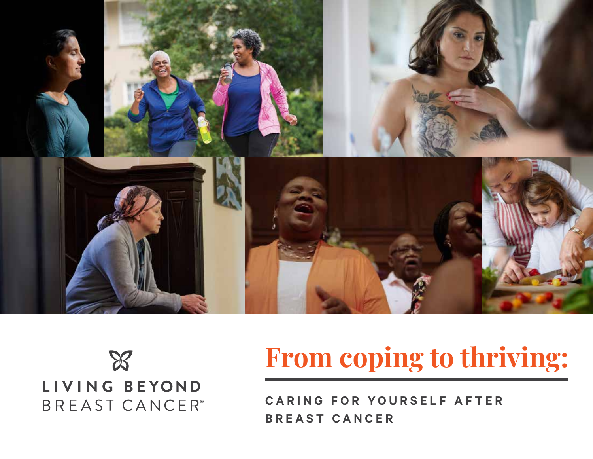



## **From coping to thriving:**

**CARING FOR YOURSELF AFTER BREAST CANCER**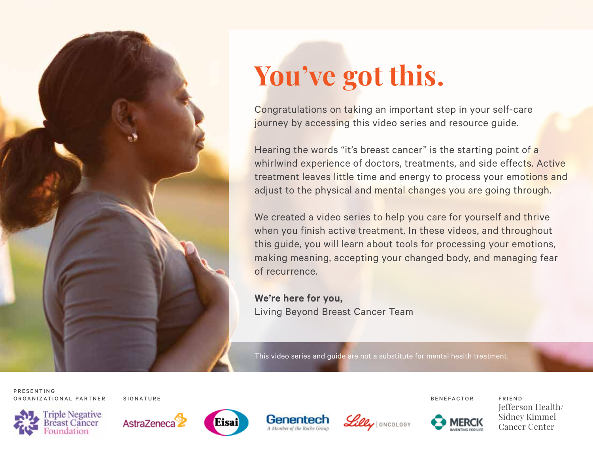

# **You've got this.**

Congratulations on taking an important step in your self-care journey by accessing this video series and resource guide.

Hearing the words "it's breast cancer" is the starting point of a whirlwind experience of doctors, treatments, and side effects. Active treatment leaves little time and energy to process your emotions and adjust to the physical and mental changes you are going through.

We created a video series to help you care for yourself and thrive when you finish active treatment. In these videos, and throughout this guide, you will learn about tools for processing your emotions, making meaning, accepting your changed body, and managing fear of recurrence.

**We're here for you,** Living Beyond Breast Cancer Team

This video series and guide are not a substitute for mental health treatment.

P R E S E N T I N G ORGANIZATIONAL PARTNER SIGNATURE BENEFACTOR FRIEND



![](_page_1_Picture_11.jpeg)

![](_page_1_Picture_12.jpeg)

![](_page_1_Picture_13.jpeg)

![](_page_1_Picture_14.jpeg)

![](_page_1_Picture_16.jpeg)

Jefferson Health/ Sidney Kimmel Cancer Center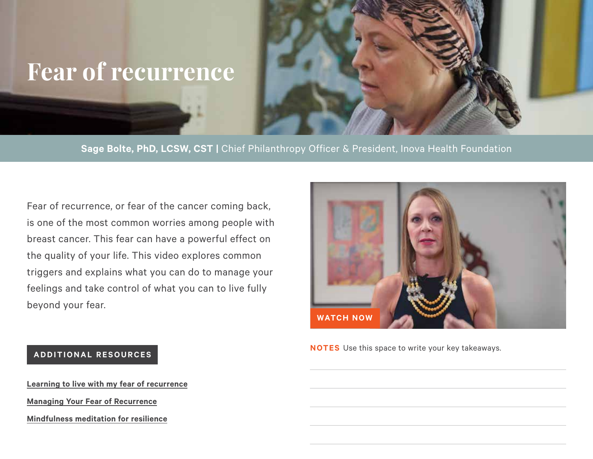### **Fear of recurrence**

**Sage Bolte, PhD, LCSW, CST |** Chief Philanthropy Officer & President, Inova Health Foundation

Fear of recurrence, or fear of the cancer coming back, is one of the most common worries among people with breast cancer. This fear can have a powerful effect on the quality of your life. This video explores common triggers and explains what you can do to manage your feelings and take control of what you can to live fully beyond your fear.

![](_page_2_Picture_3.jpeg)

**NOTES** Use this space to write your key takeaways.

### **A D D I T I O N A L R E S O U R C E S**

**[Learning to live with my fear of recurrence](https://www.lbbc.org/blog/learning-live-my-fear-recurrence) [Managing Your Fear of Recurrence](https://www.lbbc.org/learn/living-breast-cancer/fear-recurrence/managing-your-fear-recurrence) [Mindfulness meditation for resilience](https://www.lbbc.org/news-opinion/mindfulness-meditation-resilience-anusha-wijeyakumar-ma-cpc-ryt)**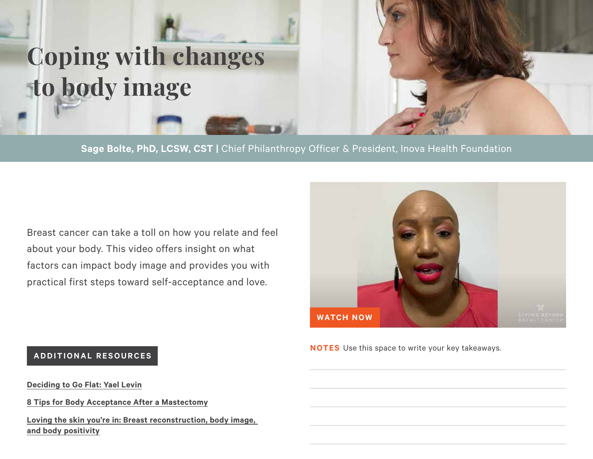![](_page_3_Picture_0.jpeg)

**Sage Bolte, PhD, LCSW, CST |** Chief Philanthropy Officer & President, Inova Health Foundation

Breast cancer can take a toll on how you relate and feel about your body. This video offers insight on what factors can impact body image and provides you with practical first steps toward self-acceptance and love.

![](_page_3_Picture_3.jpeg)

**NOTES** Use this space to write your key takeaways.

### **A D D I T I O N A L R E S O U R C E S**

**[Deciding to Go Flat: Yael Levin](https://www.lbbc.org/blog/deciding-go-flat-yael-levin)**

**[8 Tips for Body Acceptance After a Mastectomy](https://www.lbbc.org/blog/8-tips-body-acceptance-after-mastectomy)**

**[Loving the skin you're in: Breast reconstruction, body image,](https://www.youtube.com/watch?v=0Dhn8fSvqCQ)  [and body positivity](https://www.youtube.com/watch?v=0Dhn8fSvqCQ)**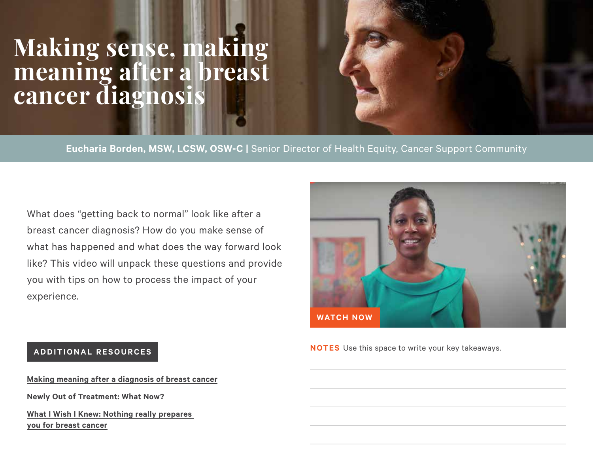### **Making sense, making meaning after a breast cancer diagnosis**

**Eucharia Borden, MSW, LCSW, OSW-C |** Senior Director of Health Equity, Cancer Support Community

What does "getting back to normal" look like after a breast cancer diagnosis? How do you make sense of what has happened and what does the way forward look like? This video will unpack these questions and provide you with tips on how to process the impact of your experience.

![](_page_4_Picture_3.jpeg)

**NOTES** Use this space to write your key takeaways.

### **A D D I T I O N A L R E S O U R C E S**

**[Making meaning after a diagnosis of breast cancer](https://www.lbbc.org/making-meaning-after-diagnosis-breast-cancer) [Newly Out of Treatment: What Now?](https://www.lbbc.org/newly-out-treatment-what-now) [What I Wish I Knew: Nothing really prepares](https://www.lbbc.org/blog/what-i-wish-i-knew-nothing-really-prepares-you-breast-cancer)  [you for breast cancer](https://www.lbbc.org/blog/what-i-wish-i-knew-nothing-really-prepares-you-breast-cancer)**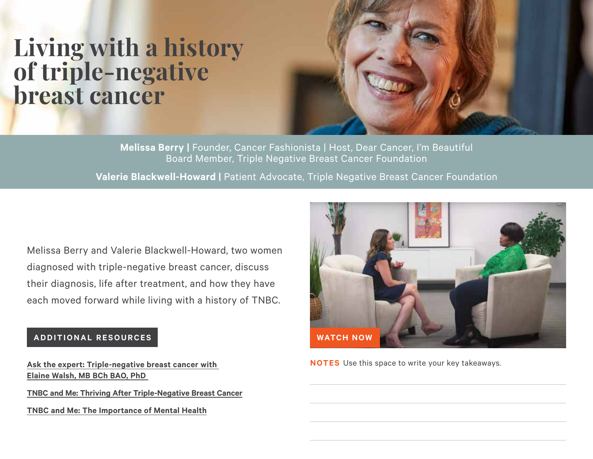### **Living with a history of triple-negative breast cancer**

**Melissa Berry |** Founder, Cancer Fashionista | Host, Dear Cancer, I'm Beautiful Board Member, Triple Negative Breast Cancer Foundation

**Valerie Blackwell-Howard | Patient Advocate, Triple Negative Breast Cancer Foundation** 

Melissa Berry and Valerie Blackwell-Howard, two women diagnosed with triple-negative breast cancer, discuss their diagnosis, life after treatment, and how they have each moved forward while living with a history of TNBC.

### **ADDITIONAL RESOURCES**

**[Ask the expert: Triple-negative breast cancer with](https://www.lbbc.org/ask-expert-triple-negative-breast-cancer-elaine-walsh-mb-bch-bao-phd)  [Elaine Walsh, MB BCh BAO, PhD](https://www.lbbc.org/ask-expert-triple-negative-breast-cancer-elaine-walsh-mb-bch-bao-phd)** 

**[TNBC and Me: Thriving After Triple-Negative Breast Cancer](https://www.lbbc.org/node/7100)**

**[TNBC and Me: The Importance of Mental Health](https://www.lbbc.org/node/7057)**

![](_page_5_Picture_8.jpeg)

**NOTES** Use this space to write your key takeaways.